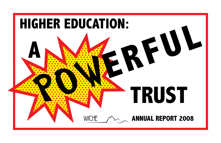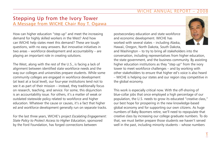# Stepping Up from the Ivory Tower A Message from WICHE Chair Roy T. Ogawa

How can higher education "step up" and meet the increasing demand for highly skilled workers in the West? And how can WICHE help states meet this demand? These are tough questions, with no easy answers. But innovative initiatives in two areas – workforce development and accountability – are playing an important role in creating solutions.

The West, along with the rest of the U.S., is facing a lack of alignment between identified state workforce needs and the way our colleges and universities prepare students. While some community colleges are engaged in workforce development (at least at a local level), our four-year institutions tend not to see it as part of their mission – instead, they traditionally focus on research, teaching, and service. For some, this disjunction is an accountability issue. For others, it's a matter of weak or outdated statewide policy related to workforce and higher education. Whatever the cause or causes, it's a fact that higher ed and workforce development generally run on separate tracks.

For the last three years, WICHE's project *Escalating Engagement: State Policy to Protect Access to Higher Education*, sponsored by the Ford Foundation, has forged connections between

postsecondary education and state workforce and economic development. WICHE has worked with several states – including Alaska, Hawaii, Oregon, North Dakota, South Dakota,



and Washington – to try to bring all stakeholders into the conversation, including representatives from higher education, the state government, and the business community. By assisting higher education institutions as they "step up" from the ivory tower to meet workforce challenges – and by working with other stakeholders to ensure that higher ed's voice is also heard – WICHE is helping our states and our region stay competitive in the global economy.

This work is especially critical now. With the off-shoring of blue-collar jobs that once employed a high percentage of our population, the U.S. needs to grow its educated "creative class," our best hope for prospering in the new knowledge-based global economy and for supporting our own citizens. As huge numbers of Baby Boomers retire, we'll need to repopulate that creative class by increasing our college graduate numbers. To do that, we must better prepare those students we haven't served well in the past, including minority students – whose numbers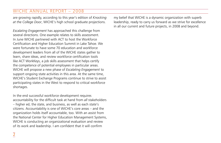are growing rapidly, according to this year's edition of *Knocking at the College Door*, WICHE's high school graduate projections.

*Escalating Engagement* has approached this challenge from several directions. One example relates to skills assessment. In June WICHE partnered with ACT to host the Workforce Certification and Higher Education Summit in Lake Tahoe. We were fortunate to have some 70 education and workforce development leaders from all of the WICHE states gather to learn, share ideas, and review workforce certification tools like ACT WorkKeys, a job skills assessment that helps certify the competence of potential employees in particular areas. WICHE will propose a new phase of *Escalating Engagement* to support ongoing state activities in this area. At the same time, WICHE's Student Exchange Programs continue to strive to assist participating states in the West to respond to critical workforce shortages.

In the end successful workforce development requires accountability for the difficult task at hand from *all* stakeholders – higher ed, the state, and business, as well as each state's citizens. Accountability is one of WICHE's core areas – and the organization holds itself accountable, too. With an assist from the National Center for Higher Education Management Systems, WICHE is conducting an organizational evaluation and review of its work and leadership. I am confident that it will confirm

my belief that WICHE is a dynamic organization with superb leadership, ready to carry us forward as we strive for excellence in all our current and future projects, in 2008 and beyond.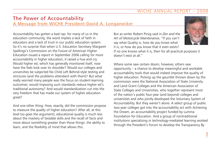# The Power of Accountability A Message from WICHE President David A. Longanecker

Accountability has gotten a bad rap: for many of us in the education community, the word implies a lack of faith in educators and a lack of trust in our public education system. So it's no surprise that when U.S. Education Secretary Margaret Spellings's Commission on the Future of American Higher Education issued a report in September 2006 calling for more accountability in higher education, it raised a hue and cry. Would higher ed, which has generally monitored itself, now have the feds look over its shoulder? Would our colleges and universities be subjected No Child Left Behind-style testing and strictures (and the problems attendant with them)? But what really worried many people was the focus on student-learning outcomes: would imposing such standards reduce higher ed's traditional autonomy? And would standardization cut into the very freedom that has made our system of higher education great?

And one other thing: How, exactly, did the commission propose to measure the *quality* of higher education? After all, at this level (so goes the argument), educational quality is much less about the mastery of testable skills and the recall of facts and more about something greater than those things: the ability to learn, and the flexibility of mind that allows this.

But as writer Robert Pirsig said in *Zen and the Art of Motorcycle Maintenance*, "If you can't say what Quality is, how do you know what it is, or how do you know that it even exists?

If no one knows what it is, then for all practical purposes it doesn't exist at all."

Where some saw certain doom, however, others saw opportunity – a chance to develop meaningful and workable accountability tools that would indeed improve the quality of higher education. Picking up the gauntlet thrown down by the commission were the National Association of State University and Land Grant Colleges and the American Association of State Colleges and Universities, who together represent most of the nation's public four-year (and beyond) colleges and universities and who jointly developed the Voluntary System of Accountability. But they weren't alone. A select group of public two-year colleges got into the accountability act with Achieving the Dream, an accountability project funded by Lumina Foundation for Education. And a group of nontraditional institutions specializing in technology-mediated learning worked through the President's Forum to develop the Transparency By

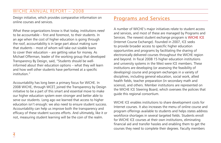Design initiative, which provides comparative information on online courses and services.

What these organizations know is that today, institutions *need*  to be accountable – first and foremost, to their students. In an age when the cost of higher education is going through the roof, accountability is in large part about making sure that students – most of whom will take out sizable loans to cover their education – are getting value for money. As Michael Offerman, leader of the working group that developed Transparency By Design, said, "Students should be wellinformed about their education options – what they will learn and how well other students have performed at a specific institution."

Accountability has long been a primary focus for WICHE. In 2008 WICHE, through WCET, joined the Transparency by Design initiative to be a part of this smart and essential move to make our higher education system even stronger and better able to serve our students. Long ago we learned that access to higher education isn't enough: we also need to ensure student success. Accountability can help us improve both the transparency and efficacy of these student success efforts. And ultimately, like it or not, measuring student learning will be the coin of the realm.

# Programs and Services

A number of WICHE's major initiatives relate to student access and services, and most of these are managed by Programs and Services. The newest student exchange program is WICHE ICE (Internet Course Exchange). Founded in 2007, ICE seeks to provide broader access to specific higher education opportunities and programs by facilitating the sharing of electronically delivered courses throughout the WICHE region and beyond. In fiscal 2008 15 higher education institutions and university systems in the West were ICE members. These institutions are developing (or assessing the feasibility of developing) course and program exchanges in a variety of disciplines, including general education, social work, allied health fields, teacher preparation (in secondary math and science), and others. Member institutions are represented on the WICHE ICE Steering Board, which oversees the policies that guide this regional consortium.

WICHE ICE enables institutions to share development costs for Internet courses. It also increases the menu of online course and program offerings available to students and helps states address workforce shortages in several targeted fields. Students enroll for WICHE ICE courses at their own institutions, eliminating financial aid and transfer hassles and enabling them to get the courses they need to complete their degrees. Faculty members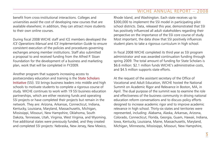benefit from cross-institutional interactions. Colleges and universities avoid the cost of developing new courses that are available elsewhere; in addition, they can attract more students to their own online courses.

During fiscal 2008 WICHE staff and ICE members developed the *ICE Operations Manual* and *ICE Implementation Guide* to ensure consistent execution of the policies and procedures governing exchanges among member institutions. Staff also submitted a proposal to and received funding from the Alfred P. Sloan Foundation for the development of a business and marketing plan, work that will be completed in FY2009.

Another program that supports increasing access to postsecondary education and training is the State Scholars Initiative (SSI). SSI brings business leaders into middle and high schools to motivate students to complete a rigorous course of study. WICHE continues to work with 19 SSI business education partnerships, which are either receiving funds and operating SSI projects or have completed their projects but remain in the network. They are: Arizona, Arkansas, Connecticut, Indiana, Kentucky, Louisiana, Maryland, Massachusetts, Michigan, Mississippi, Missouri, New Hampshire, Oklahoma, South Dakota, Tennessee, Utah, Virginia, West Virginia, and Wyoming. Five additional states were previously funded, and they created and completed SSI projects: Nebraska, New Jersey, New Mexico,

Rhode Island, and Washington. Each state receives up to \$300,000 to implement the SSI model in participating pilot school districts. Data, released this year, demonstrated that SSI has positively influenced all adult stakeholders regarding their perspective on the importance of the SSI core course of study. Most important, the data show that SSI positively influences student plans to take a rigorous curriculum in high school.

In fiscal 2008 WICHE completed its third year as SSI program administrator and was awarded continuation funding through spring 2009. The total amount of funding for State Scholars is \$6.6 million: \$2.1 million funds WICHE's administrative costs, and \$4.5 million supports state efforts.

At the request of the assistant secretary of the Office of Vocational and Adult Education, WICHE hosted the National Summit on Academic Rigor and Relevance in Boston, MA, in April. The dual purpose of the summit was to examine the role and effectiveness of the business community in driving national education reform conversations and to discuss policy efforts designed to increase academic rigor and to improve academic relevance in high school. Thirty-six states and territories were represented, including: Alabama, Alaska, Arkansas, Arizona, Colorado, Connecticut, Florida, Georgia, Guam, Hawaii, Indiana, Iowa, Kentucky, Louisiana, Maine, Massachusetts, Maryland, Michigan, Minnesota, Mississippi, Missouri, New Hampshire,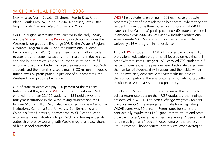New Mexico, North Dakota, Oklahoma, Puerto Rico, Rhode Island, South Carolina, South Dakota, Tennessee, Texas, Utah, Virgin Islands, Virginia, West Virginia, and Wyoming.

WICHE's original access initiative, created in the early 1950s, was the Student Exchange Program, which now includes the Western Undergraduate Exchange (WUE), the Western Regional Graduate Program (WRGP), and the Professional Student Exchange Program (PSEP). These three programs allow students to attend out-of-state institutions in the region at reduced costs and also help the West's higher education institutions to fill enrollment gaps and better manage their resources. In 2007-08 students and their families saved almost \$138 million in reduced tuition costs by participating in just one of our programs, the Western Undergraduate Exchange.

Out-of-state students can pay 150 percent of the resident tuition rate if they enroll in WUE institutions. Last year, WUE enrolled more than 22,100 students in 135 public two- and four-year institutions in the West, saving students and their families \$137.7 million. WUE also welcomed two new California institutions: California State University–San Bernadino and California State University–Sacramento. WICHE continues to encourage more institutions to join WUE and has expanded its outreach efforts by working with Western regional associations of high school counselors.

WRGP helps students enrolling in 203 distinctive graduate programs (many of them related to healthcare), where they pay resident tuition. Some three dozen institutions in 14 WICHE states (all but California) participate, and 460 students enrolled in academic year 2007-08. WRGP now includes professional science master's (PSM) programs, such as Arizona State University's PSM program in nanoscience.

Through PSEP students in 12 WICHE states participate in 10 professional education programs, all focused on healthcare, in other Western states. Last year PSEP enrolled 790 students, a 6 percent increase over the previous year. Each state determines the number of students it will support and the fields, which include medicine, dentistry, veterinary medicine, physical therapy, occupational therapy, optometry, podiatry, osteopathic medicine, physician assistant, and pharmacy.

In fall 2006 PSEP-supporting states renewed their efforts to collect return rate data on their PSEP graduates: the findings are detailed in WICHE's *Student Exchange Program 2007-08 Statistical Report*. The average return rate for all reporting WICHE states was 59 percent. Return rates for states that contractually require their PSEP graduates to return and serve ("payback states") were the highest, averaging 74 percent and ranging as high as 94 percent, depending on the profession. Return rates for "honor system" states were lower, averaging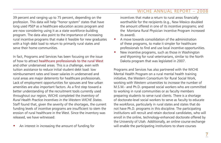39 percent and ranging up to 75 percent, depending on the profession. This data will help "honor system" states that have long used PSEP as a healthcare education access program and are now considering using it as a state workforce-building program. The data also point to the importance of increasing rural incentive programs that make it feasible for new graduates with a high debt load to return to primarily rural states and serve their home communities.

In fact, Programs and Services has been focusing on the issue of how to attract healthcare professionals to the rural West and other underserved areas. This is a challenge, even with tuition assistance to reduce initial student debt load: low reimbursement rates and lower salaries in underserved and rural areas are major deterrents for healthcare professionals. Lack of employment opportunities for spouses and few urban amenities are also important factors. As a first step toward a better understanding of the recruitment tools currently used throughout our region, WICHE completed the *Inventory of Rural Health Practice Incentives in the Western WICHE States*. Staff found that, given the severity of the shortages, the current funding levels of incentive programs are insufficient to stem the erosion of rural healthcare in the West. Since the inventory was released, we have witnessed:

An interest in increasing the amount of funding for

incentives that make a return to rural areas financially worthwhile for the recipients (e.g., New Mexico doubled the amount offered in one of its incentive programs; and the Montana Rural Physician Incentive Program increased its award).

- A move towards consolidation of the administration of these programs, to make it simpler for healthcare professionals to find and use local incentive opportunities.
- New incentive programs, such as those in Washington and Wyoming for rural veterinarians, similar to the North Dakota program that was legislated in 2007.

Programs and Services has also partnered with the WICHE Mental Health Program on a rural mental health training initiative, the Western Consortium for Rural Social Work, working with Western universities to increase the number of M.S.W.- and Ph.D.-prepared social workers who are committed to working in rural communities or as faculty members preparing students to serve rural clients. There is a shortage of doctorate-level social workers to serve as faculty to educate the workforce, particularly in rural states and states that do not have Ph.D. programs in this discipline. The participating institutions will recruit and retain doctoral candidates, who will enroll in the online, technology-enhanced doctorate offered by the University of Utah. Additionally, an online course exchange will enable the participating institutions to share courses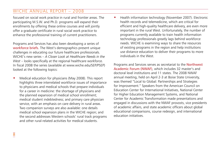focused on social work practice in rural and frontier areas. The participating M.S.W. and Ph.D. programs will expand their enrollments by offering these online courses and will jointly offer a graduate certificate in rural social work practice to enhance the professional training of current practitioners.

Programs and Services has also been developing a series of workforce briefs. The West's demographics present unique challenges in educating our future healthcare professionals. WICHE's new series – *A Closer Look at Healthcare Needs in the West – looks specifically at the regional healthcare workforce.* In fiscal 2008 the series (available at www.wiche.edu/SEP/PSEP) looked at the following topics:

 Medical education for physicians (May 2008). This report highlights three interrelated workforce issues of importance to physicians and medical schools that prepare individuals for a career in medicine: the shortage of physicians and the planned expansion of medical school enrollment; medical student indebtedness; and primary care physician service, with an emphasis on care delivery in rural areas. Two companion surveys are also available: one details medical school expansion plans in the WICHE region; and the second addresses Western schools' rural track programs and other rural-related activities for medical students.

 Health information technology (November 2007). Electronic health records and telemedicine, which are critical for efficient and high-quality healthcare delivery, are even more important in the rural West. Unfortunately, the number of programs currently available to train health information technology professionals greatly lags behind workforce needs. WICHE is examining ways to share the resources of existing programs in the region and help institutions use distance education to deliver their programs to more individuals in the West.

Programs and Services serves as secretariat to the Northwest Academic Forum (NWAF), which includes 32 master's and doctoral level institutions and 11 states. The 2008 NWAF annual meeting, held on April 2-3 at Boise State University, was themed "Local to Global: Partnerships and Strategies for Improvement." Speakers from the American Council on Education Center for International Initiatives, National Center for Higher Education Management Systems, and National Center for Academic Transformation made presentations and engaged in discussions with the NWAF provosts, vice presidents of academic affairs, and state academic officers about global educational comparisons, course redesign, and international education initiatives.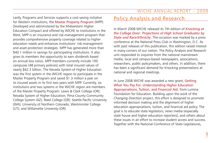Lastly, Programs and Services supports a cost-saving initiative for Western institutions, the Master Property Program (MPP). Developed and administered by the Midwestern Higher Education Compact and offered by WICHE to institutions in the West, MPP is an insurance and risk-management program that provides comprehensive property coverage related to higher education needs and enhances institutions' risk-management and asset-protection strategies. MPP has generated more than \$40.1 million in savings for participating institutions. It also gives its members the opportunity to earn dividends based on annual loss ratios. MPP members currently include 100 campuses (48 primary policies) with total insured values of nearly \$62.3 billion. The Nevada System of Higher Education was the first system in the WICHE region to participate in the Master Property Program and saved \$1.3 million a year on its insured assets in its first two years with MPP. Currently, six institutions and two systems in the WICHE region are members of the Master Property Program: Lewis & Clark College (OR); Nevada System of Higher Education; Pima County Community College System (AZ); Reed College (OR); Seattle Pacific University (WA); University of Northern Colorado; Westminster College (UT); and Willamette University (OR).

# Policy Analysis and Research

In March 2008 WICHE released its 7th edition of *Knocking at the College Door: Projections of High School Graduates by State and Race/Ethnicity*. The occasion was marked by a press conference at the National Press Club in Washington, D.C. As with past releases of this publication, this edition raised interest in many corners of our nation. The Policy Analysis and Research unit responded to inquiries from the national mainstream media, local and campus-based newspapers, associations, researchers, public policymakers, and others. In addition, there has been a significant demand for *Knocking* presentations at national and regional meetings.

In June 2008 WICHE was awarded a new grant, Getting What You Pay For: Understanding Higher Education Appropriations, Tuition, and Financial Aid, from Lumina Foundation for Education. Building upon the work of the *Changing Direction* project, this effort is designed to promote informed decision making and the alignment of higher education appropriations, tuition, and financial aid policy. The goal is to educate state legislators, news media (especially state house and higher education reporters), and others about these issues in an effort to increase student access and success. Together with the National Conference of State Legislatures,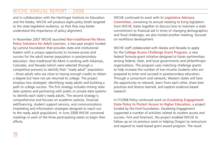and in collaboration with the Hechinger Institute on Education and the Media, WICHE will produce eight policy briefs targeted to the state legislative audience, so that they may better understand the importance of policy alignment.

In November 2007 WICHE launched Non-traditional No More: Policy Solutions for Adult Learners, a two-year project funded by Lumina Foundation that provides state and institutional leaders with a unique opportunity to increase access and success for the adult learner population in postsecondary education. *Non-traditional No More* is working with Arkansas, Colorado, and Nevada (which were selected through a competitive process) to identify their "ready adult" population – those adults who are close to having enough credits to obtain a degree but have not yet returned to college. The project employs two strategies: identifying ready adults and building a path to college success. The first strategy includes mining state data systems and partnering with public or private data systems to identify each state's ready adults. The second strategy is comprehensive and focuses on academic policies, financial aid/financing, student support services, and communications (marketing and information strategies designed to reach out to the ready adult population). In June 2008 WICHE convened meetings in each of the three participating states to begin their efforts.

WICHE continued its work with its Legislative Advisory Committee, convening its annual meeting to bring legislators from WICHE states together to discuss how to maintain a state commitment to financial aid in times of changing demographics and fiscal challenges; we also hosted another meeting, focused on workforce development.

WICHE staff collaborated with Alaska and Nevada to apply for the College Access Challenge Grant Program, a new federal formula-grant initiative designed to foster partnerships among federal, state, and local governments and philanthropic organizations. The program uses matching challenge grants to help increase the number of low-income students who are prepared to enter and succeed in postsecondary education. Through a consortium and network, Western states will have the opportunity to network, learn from each other, share best practices and lessons learned, and explore evidence-based research.

In FY2008 Policy continued work on Escalating Engagement: State Policy to Protect Access to Higher Education, a project funded by the Ford Foundation. *Escalating Engagement*  supported a number of activities related to student access and success. First and foremost, the project enabled WICHE to follow up on its previous work in helping Oregon to restructure and expand its need-based grant award program. The result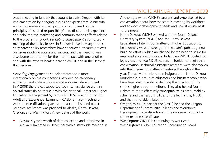was a meeting in January that sought to assist Oregon with its implementation by bringing in outside experts from Minnesota – which operates a similar grant program, based on the principles of "shared responsibility" – to discuss their experience and help improve marketing and communications efforts related to the program's rollout. *Escalating Engagement* also hosted a meeting of the policy fellows in Boulder in April. Many of these early-career policy researchers have conducted research projects on issues involving access and success, and the meeting was a welcome opportunity for them to interact with one another and with the experts located here at WICHE and in the Denver/ Boulder area.

*Escalating Engagement* also helps states focus more intentionally on the connections between postsecondary education and state workforce and economic development. In FY2008 the project supported technical assistance work in several states (in partnership with the National Center for Higher Education Management Systems – NCHEMS – and Council for Adult and Experiential Learning – CAEL); a major meeting on workforce certification systems; and a commissioned paper. Technical assistance was provided to Alaska, North Dakota, Oregon, and Washington. A few details of the work:

 Alaska: A year's worth of data collection and interviews in Alaska culminated in December with a statewide meeting in Anchorage, where WICHE's analysis and expertise led to a conversation about how the state is meeting its workforce and economic development needs and how it envisions its future needs.

- North Dakota: WICHE worked with the North Dakota University System (NDUS) and the North Dakota Legislature's Interim Committee on Higher Education to help identify ways to strengthen the state's public agendabuilding efforts, which are shaped by the need to strive for improved access and success. In January WICHE hosted four legislators and two NDUS leaders in Boulder to begin that conversation. Technical assistance activities were also woven into the interim committee's meetings throughout the year. The activities helped to reinvigorate the North Dakota Roundtable, a group of educators and businesspeople who have been instrumental in defining the direction of the state's higher education efforts. They also helped North Dakota to more effectively conceptualize its accountability scheme and the responsibilities of the legislature, NDUS, and the roundtable related to it.
- Oregon: WICHE's partner the (CAEL) helped the Oregon Department of Community Colleges and Workforce Development take steps toward the implementation of a career readiness certificate.
- Washington: WICHE is continuing to work with Washington's Higher Education Coordinating Board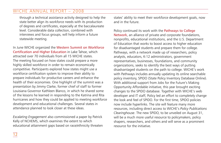through a technical assistance activity designed to help the state better align its workforce needs with its production of degrees and certificates, especially at the baccalaureate level. Considerable data collection, combined with interviews and focus groups, will help inform a future statewide meeting.

In June WICHE organized the Western Summit on Workforce Certification and Higher Education in Lake Tahoe, which attracted over 70 individuals from all 15 WICHE states. The meeting focused on how states could prepare a more highly skilled workforce in order to remain economically competitive. Participants explored how states might use a workforce certification system to improve their ability to prepare individuals for productive careers and enhance the health of their economies. One highlight of the summit was a presentation by Jimmy Clarke, former chief of staff to former Louisiana Governor Kathleen Blanco, in which he shared some of the lessons he learned in responding to the Katrina and Rita hurricanes and how they could be applied to meeting workforce development and educational challenges. Several states in attendance planned to look closer at these ideas.

*Escalating Engagement* also commissioned a paper by Patrick Kelly of NCHEMS, which examines the extent to which educational attainment gaps based on race/ethnicity threaten states' ability to meet their workforce development goals, now and in the future.

Policy continued its work with the Pathways to College Network, an alliance of private and corporate foundations, nonprofits, educational institutions, and the U.S. Department of Education that works to boost access to higher education for disadvantaged students and prepare them for college. Pathways, with a network made up of researchers, policy analysts, educators, K-12 administrators, government representatives, businesses, foundations, and community organizations, seeks to identify the best ways of putting disadvantaged students on the path to college. WICHE's work with Pathways includes annually updating its online searchable policy inventory, SPIDO (State Policy Inventory Database Online). With additional support from Jobs for the Future's Making Opportunity Affordable initiative, this year brought exciting changes to the SPIDO database. Together with WICHE's web developer and IT staff, Policy led an effort to completely change the look and feel of SPIDO. For the first time, SPIDO policies now include hyperlinks. The site will feature many more resources, including direct access to WICHE's *Policy Publications Clearinghouse*. The new SPIDO, to be unveiled on August 31, will be a much more useful resource to policymakers, policy shapers, researchers, and others and will serve as a prominent resource for the initiative.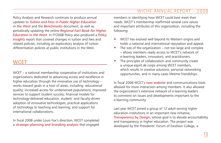Policy Analysis and Research continues to produce annual updates to *Tuition and Fees in Public Higher Education in the West* and the *Benchmarks* document, as well as periodically updating the online *Regional Fact Book for Higher Education in the West*. In FY2008 Policy also produced a *Policy Insights* report that covered changes in tuition and fees and related policies, including an exploratory analysis of tuition differentiation policies at public institutions in the West.

# **WCET**

WCET – a national membership cooperative of institutions and organizations dedicated to advancing access and excellence in higher education through the innovative use of technology – works toward goals in a host of areas, including: educational quality; increased access for underserved populations; improved services to support student success; financial models for technology-delivered education; student- and faculty-driven adoption of innovative technologies; practical applications of technology to teaching and learning; and support for international collaborations.

In fiscal 2008 under Louis Fox's direction, WCET completed a strategic-planning and branding analysis that engaged

members in identifying how WCET could best meet their needs. WCET's membership reaffirmed several core values and important attributes of this organization, including the following:

- WCET has evolved well beyond its Western origins and holds a national and international reputation and appeal.
- The size of the organization not too large and complex – allows members ready access to WCET's network of e-learning leaders, innovators, and practitioners.
- The principles of collaboration and community create a unique *esprit de corps* among WCET members, which results in creative solutions, personal networking opportunities, and in many cases lifetime friendships.

In fiscal 2008 WCET's new website and communications tools allowed for more interaction among members. It also allowed the organization's extensive network of e-learning leaders to comment on issues and developments important to the e-learning community.

Last year WCET joined a group of 12 adult-serving higher education institutions in an important new initiative, Transparency by Design, whose goal is to elevate accountability and transparency in higher education. The project was developed by the Presidents' Forum of Excelsior College, a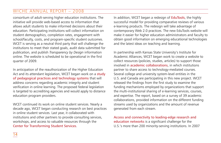consortium of adult-serving higher education institutions. The initiative will provide web-based access to information that allows adult students to make informed decisions about their education. Participating institutions will collect information on student demographics, completion rates, engagement with school/faculty, costs, and program-specific student outcomes. WCET is serving as a neutral third party that will challenge the institutions to meet their stated goals, audit data submitted for publication, and publish *Transparency by Design* information online. The website is scheduled to be operational in the first quarter of 2009.

In anticipation of the reauthorization of the Higher Education Act and its attendant legislation, WCET began work on a study of pedagogical practices and technology systems that will address concerns regarding academic integrity and student verification in online learning. The proposed federal legislation is targeted to accrediting agencies and would apply to distance education program providers.

WCET continued its work on online student services. Nearly a decade ago, WCET began conducting research on best practices in online student services. Last year, it collaborated with institutions and other partners to provide consulting services, workshops, and access to valuable resources through the Center for Transforming Student Services.

In addition, WCET began a redesign of EduTools, the highly successful model for providing comparative reviews of various e-learning products. The redesign will take advantage of contemporary Web 2.0 practices. The new EduTools website will make it easier for higher education administrators and faculty to obtain good information on emerging educational technologies and the latest ideas on teaching and learning.

In partnership with Kansas State University's Institute for Academic Alliances, WCET began work to create a website to collect resources (policies, studies, articles) to support those involved in academic collaborations, in which institutions partner to share access to technology-mediated courses. Several college and university system-level entities in the U.S. and Canada are participating in this new project. WCET released the findings from the first study to examine the funding mechanisms employed by organizations that support the multi-institutional sharing of e-learning services, courses, and expertise. The report, based on a survey of 39 academic collaborations, provided information on the different funding streams used by organizations and the amount of revenue generated from each stream.

Access and connectivity to leading-edge research and education networks is a significant challenge for the U.S.'s more than 200 minority-serving institutions. In 2007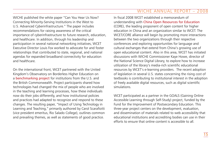WICHE published the white paper "Can You Hear Us Now? Connecting Minority-Serving Institutions in the West to U.S. Advanced Cyberinfrastructure." The paper includes recommendations for raising awareness of the critical importance of cyberinfrastructure to future research, education, and healthcare. In addition, through his leadership and participation in several national networking initiatives, WCET Executive Director Louis Fox worked to advocate for and foster relationships that contributed to state, regional, and national agendas for expanded broadband connectivity for education and healthcare.

On the international front, WCET partnered with the United Kingdom's Observatory on Borderless Higher Education on a benchmarking project for institutions from the U.S. and the British Commonwealth. Project participants shared how technologies had changed the mix of people who are involved in the teaching and learning processes, how these individuals now do their jobs differently, and how institutional policies and practices had adapted to recognize and respond to these changes. The resulting paper, "Impact of Using Technology in Learning and Teaching," primarily authored by Carol Scarafiotti (vice president emeritus, Rio Salado College), outlines common and prevailing themes, as well as statements of good practice.

In fiscal 2008 WCET established a memorandum of understanding with China Open Resources for Education (CORE), the leading proponent of open content for higher education in China and an organization similar to WCET. The WCET/CORE alliance will begin by promoting more interactions between the two organizations through their respective conferences and exploring opportunities for language and cultural exchanges that extend from China's growing use of open educational content. Also in this area, WCET has initiated discussions with WICHE Commissioner Kaye Howe, director of the National Science Digital Library, to explore how to increase utilization of the library's media-rich scientific educational resources by WCET's e-learning providers. The recent adoption of legislation in several U.S. states concerning the rising cost of textbooks is contributing to institutional interest in the adoption of freely available digital resources, such as digital scientific simulations.

WCET participated as a partner in the GOALS (Gaining Online Accessible Learning through Self-Study) project, funded by the Fund for the Improvement of Postsecondary Education. This three-year project centers on the development, evaluation, and dissemination of materials related to web accessibility that educational institutions and accrediting bodies can use in their efforts to ensure that online content is accessible to all.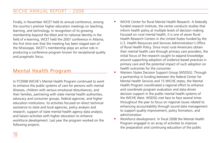Finally, in November WCET held its annual conference, among the country's premier higher education meetings on teaching, learning, and technology. In recognition of its growing membership beyond the West and its national identity in the field of e-learning, WCET held the 2007 conference in Atlanta, the first time ever that the meeting has been staged east of the Mississippi. WCET's membership plays an active role in producing a conference program known for exceptional quality and pragmatic focus.

# Mental Health Program

In FY2008 WICHE's Mental Health Program continued to work to enhance the public systems of care for persons with mental illnesses, children with serious emotional disturbances, and their families, partnering with state mental health authorities, advocacy and consumer groups, federal agencies, and higher education institutions. Its activities focused on direct technical assistance to state and local agencies, policy analysis and research, support of state mental health agency data analysis, and liaison activities with higher education to enhance workforce development. Last year the program worked on the following projects.

- WICHE Center for Rural Mental Health Research. A federally funded research institute, the center conducts studies that inform health policy at multiple levels of decision making. Focused on rural mental health, it is one of seven Rural Health Research Centers in the United States funded by the U.S. Health Resources and Services Administration's Office of Rural Health Policy. Since most rural Americans obtain their mental health care through primary care providers, the initial focus of the research sought to expand knowledge around supporting adoption of evidence-based practices in primary care and the potential impact of such adoption on health outcomes for the consumer.
- Western States Decision Support Group (WSDSG). Through a partnership in funding between the federal Center for Mental Health Services and 15 WICHE states, the Mental Health Program coordinated a regional effort to enhance and coordinate program evaluation and data-driven decision support in the public mental health systems of the WICHE West. WSDSG met face to face several times throughout the year to focus on regional issues related to enhancing accountability through sound data management to support quality improvement, policy formation, and administration.
- Workforce development. In fiscal 2008 the Mental Health Program engaged in an array of activities to improve the preparation and continuing education of the public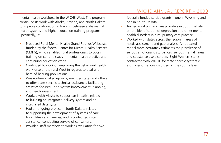mental health workforce in the WICHE West. The program continued its work with Alaska, Nevada, and North Dakota to improve collaboration in training between state mental health systems and higher education training programs. Specifically, it:

- Produced Rural Mental Health Grand Rounds Webcasts, funded by the federal Center for Mental Health Services (CMHS), which enabled rural professionals to obtain training on current issues in mental health practice and continuing education credit.
- Continued to work on improving the behavioral health workforce of the rural West in regards to deaf and hard-of-hearing populations.
- Was routinely called upon by member states and others to offer state-specific technical assistance, facilitating activities focused upon system improvement, planning, and needs assessment.
- Worked with Alaska to support an initiative related to building an integrated delivery system and an integrated data system.
- Had an ongoing project in South Dakota related to supporting the development of systems of care for children and families; and provided technical assistance, conducting surveys of consumers.
- Provided staff members to work as evaluators for two

federally funded suicide grants – one in Wyoming and one in South Dakota.

- Trained rural primary care providers in South Dakota on the identification of depression and other mental health disorders in rural primary care practice.
- Worked with states across the region in areas of needs assessment and gap analysis. An updated model more accurately estimates the prevalence of serious emotional disturbances, serious mental illness, and substance use disorders. Eight Western states contracted with WICHE for state-specific synthetic estimates of serious disorders at the county level.